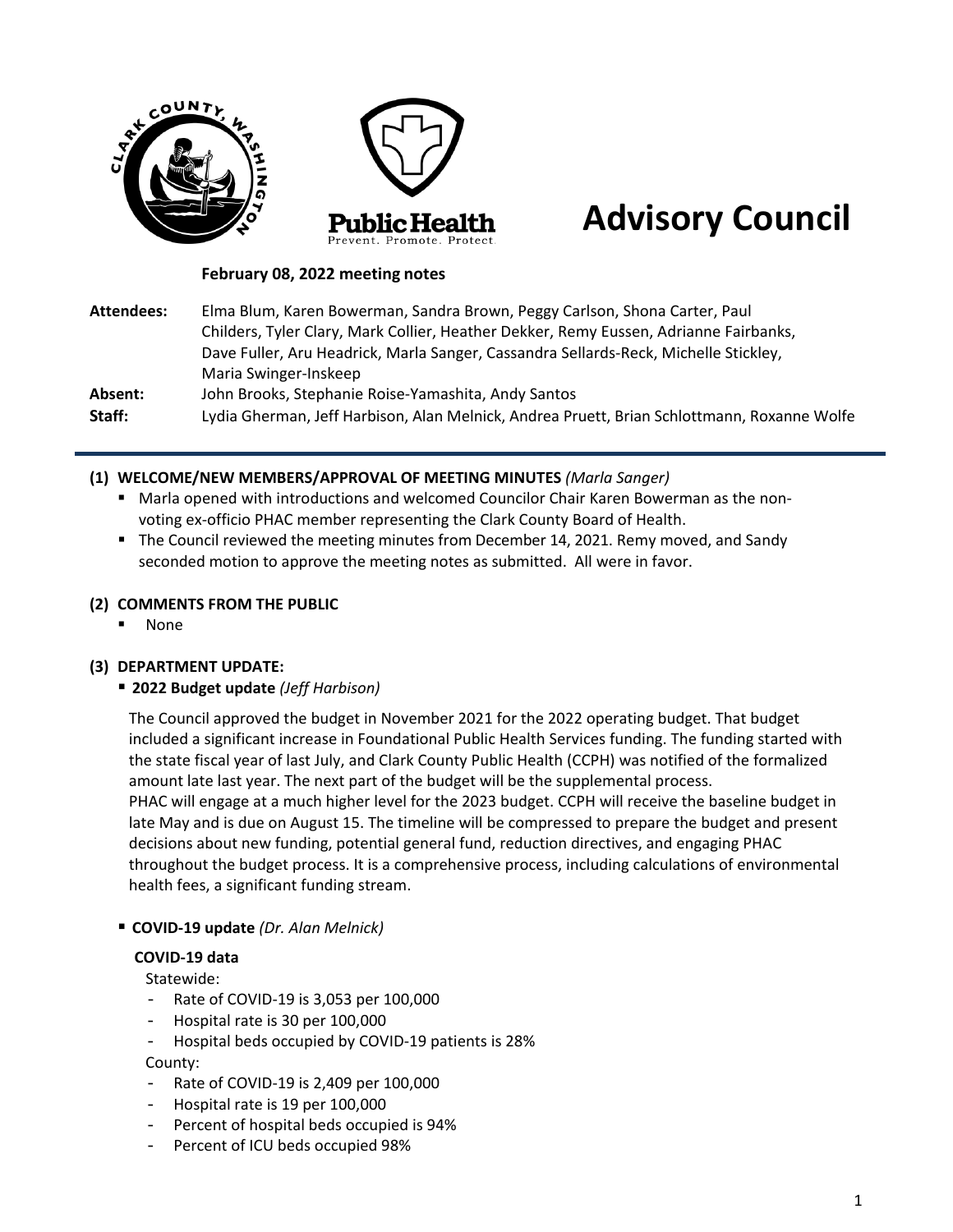

# **Advisory Council**

## **February 08, 2022 meeting notes**

| Attendees: | Elma Blum, Karen Bowerman, Sandra Brown, Peggy Carlson, Shona Carter, Paul                  |
|------------|---------------------------------------------------------------------------------------------|
|            | Childers, Tyler Clary, Mark Collier, Heather Dekker, Remy Eussen, Adrianne Fairbanks,       |
|            | Dave Fuller, Aru Headrick, Marla Sanger, Cassandra Sellards-Reck, Michelle Stickley,        |
|            | Maria Swinger-Inskeep                                                                       |
| Absent:    | John Brooks, Stephanie Roise-Yamashita, Andy Santos                                         |
| Staff:     | Lydia Gherman, Jeff Harbison, Alan Melnick, Andrea Pruett, Brian Schlottmann, Roxanne Wolfe |

#### **(1) WELCOME/NEW MEMBERS/APPROVAL OF MEETING MINUTES** *(Marla Sanger)*

- Marla opened with introductions and welcomed Councilor Chair Karen Bowerman as the nonvoting ex-officio PHAC member representing the Clark County Board of Health.
- The Council reviewed the meeting minutes from December 14, 2021. Remy moved, and Sandy seconded motion to approve the meeting notes as submitted. All were in favor.

#### **(2) COMMENTS FROM THE PUBLIC**

None

## **(3) DEPARTMENT UPDATE:**

## **2022 Budget update** *(Jeff Harbison)*

The Council approved the budget in November 2021 for the 2022 operating budget. That budget included a significant increase in Foundational Public Health Services funding. The funding started with the state fiscal year of last July, and Clark County Public Health (CCPH) was notified of the formalized amount late last year. The next part of the budget will be the supplemental process. PHAC will engage at a much higher level for the 2023 budget. CCPH will receive the baseline budget in late May and is due on August 15. The timeline will be compressed to prepare the budget and present decisions about new funding, potential general fund, reduction directives, and engaging PHAC throughout the budget process. It is a comprehensive process, including calculations of environmental health fees, a significant funding stream.

**COVID-19 update** *(Dr. Alan Melnick)* 

## **COVID-19 data**

Statewide:

- Rate of COVID-19 is 3,053 per 100,000
- Hospital rate is 30 per 100,000
- Hospital beds occupied by COVID-19 patients is 28%

County:

- Rate of COVID-19 is 2,409 per 100,000
- Hospital rate is 19 per 100,000
- Percent of hospital beds occupied is 94%
- Percent of ICU beds occupied 98%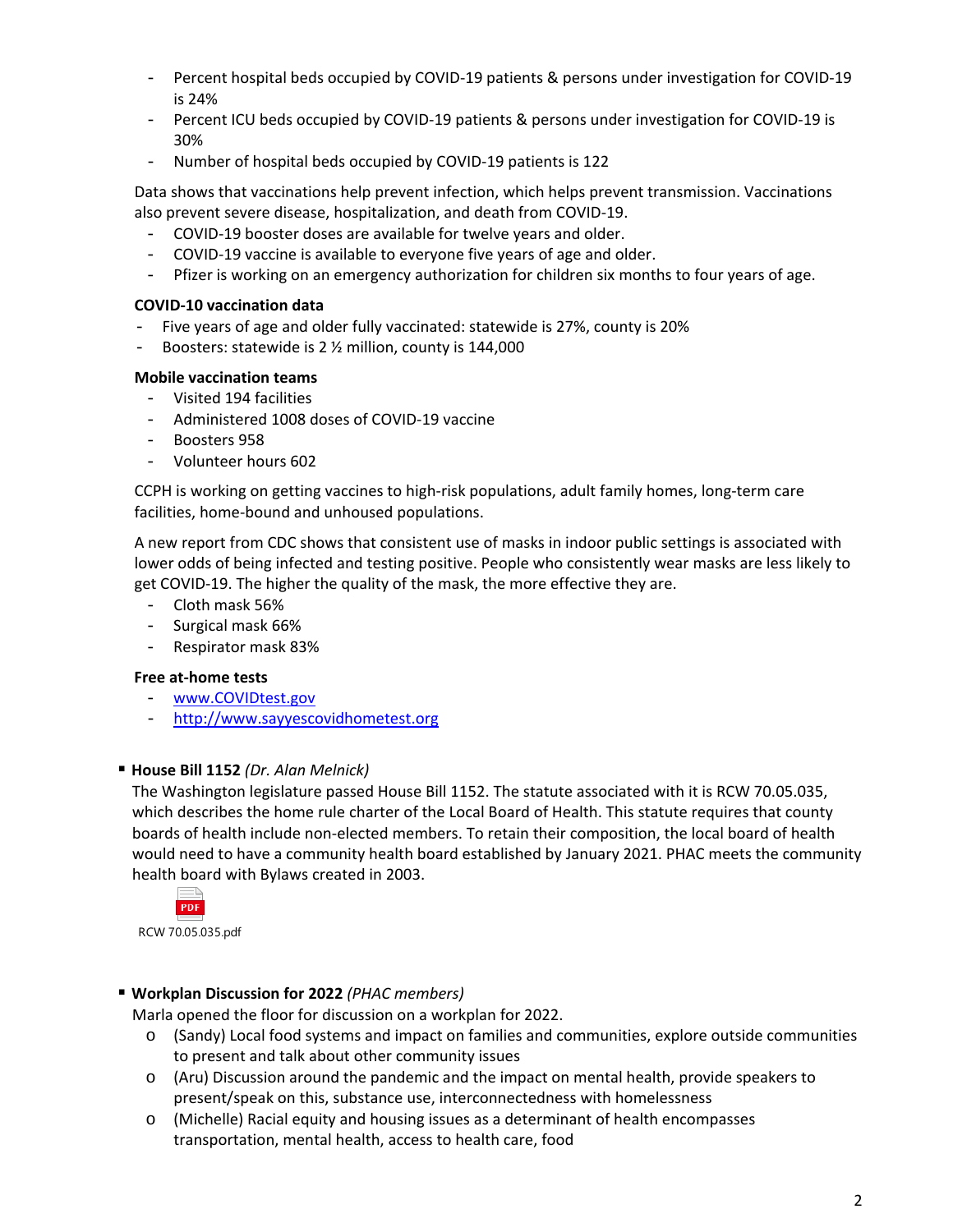- Percent hospital beds occupied by COVID-19 patients & persons under investigation for COVID-19 is 24%
- Percent ICU beds occupied by COVID-19 patients & persons under investigation for COVID-19 is 30%
- Number of hospital beds occupied by COVID-19 patients is 122

Data shows that vaccinations help prevent infection, which helps prevent transmission. Vaccinations also prevent severe disease, hospitalization, and death from COVID-19.

- COVID-19 booster doses are available for twelve years and older.
- COVID-19 vaccine is available to everyone five years of age and older.
- Pfizer is working on an emergency authorization for children six months to four years of age.

## **COVID-10 vaccination data**

- Five years of age and older fully vaccinated: statewide is 27%, county is 20%
- Boosters: statewide is 2 % million, county is 144,000

## **Mobile vaccination teams**

- Visited 194 facilities
- Administered 1008 doses of COVID-19 vaccine
- Boosters 958
- Volunteer hours 602

CCPH is working on getting vaccines to high-risk populations, adult family homes, long-term care facilities, home-bound and unhoused populations.

A new report from CDC shows that consistent use of masks in indoor public settings is associated with lower odds of being infected and testing positive. People who consistently wear masks are less likely to get COVID-19. The higher the quality of the mask, the more effective they are.

- Cloth mask 56%
- Surgical mask 66%
- Respirator mask 83%

## **Free at-home tests**

- [www.COVIDtest.gov](http://www.covidtest.gov/)
- [http://www.sayyescovidhometest.org](http://www.sayyescovidhometest.org/)

## **House Bill 1152** *(Dr. Alan Melnick)*

The Washington legislature passed House Bill 1152. The statute associated with it is RCW 70.05.035, which describes the home rule charter of the Local Board of Health. This statute requires that county boards of health include non-elected members. To retain their composition, the local board of health would need to have a community health board established by January 2021. PHAC meets the community health board with Bylaws created in 2003.



RCW 70.05.035.pdf

# **Workplan Discussion for 2022** *(PHAC members)*

Marla opened the floor for discussion on a workplan for 2022.

- o (Sandy) Local food systems and impact on families and communities, explore outside communities to present and talk about other community issues
- o (Aru) Discussion around the pandemic and the impact on mental health, provide speakers to present/speak on this, substance use, interconnectedness with homelessness
- o (Michelle) Racial equity and housing issues as a determinant of health encompasses transportation, mental health, access to health care, food